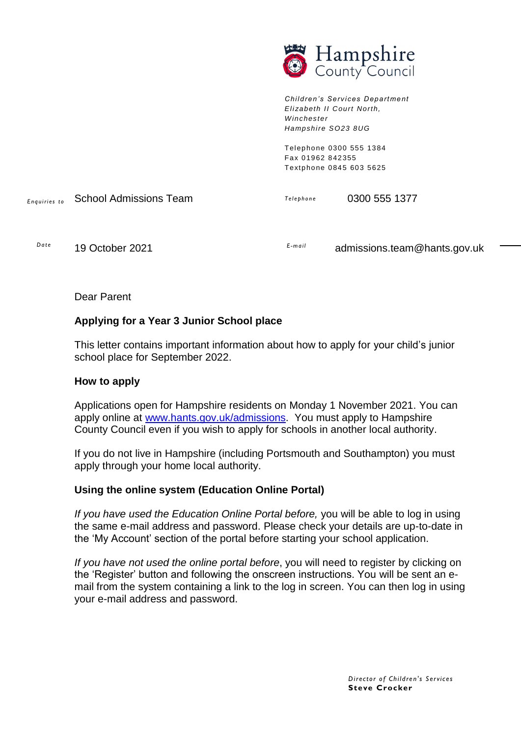

*Children's Services Depart ment Eli zabeth II Court North, Winchester Hampshire SO23 8UG*

> Telephone 0300 555 1384 Fax 01962 842355 Textphone 0845 603 5625

*E nq ui ri es to T el e p ho n e* School Admissions Team 0300 555 1377

*Da t e*

*E - ma i l* 19 October 2021 **E**-mail admissions.team@hants.gov.uk

Dear Parent

# **Applying for a Year 3 Junior School place**

This letter contains important information about how to apply for your child's junior school place for September 2022.

### **How to apply**

Applications open for Hampshire residents on Monday 1 November 2021. You can apply online at [www.hants.gov.uk/admissions.](http://www.hants.gov.uk/admissions) You must apply to Hampshire County Council even if you wish to apply for schools in another local authority.

If you do not live in Hampshire (including Portsmouth and Southampton) you must apply through your home local authority.

### **Using the online system (Education Online Portal)**

*If you have used the Education Online Portal before,* you will be able to log in using the same e-mail address and password. Please check your details are up-to-date in the 'My Account' section of the portal before starting your school application.

*If you have not used the online portal before*, you will need to register by clicking on the 'Register' button and following the onscreen instructions. You will be sent an email from the system containing a link to the log in screen. You can then log in using your e-mail address and password.